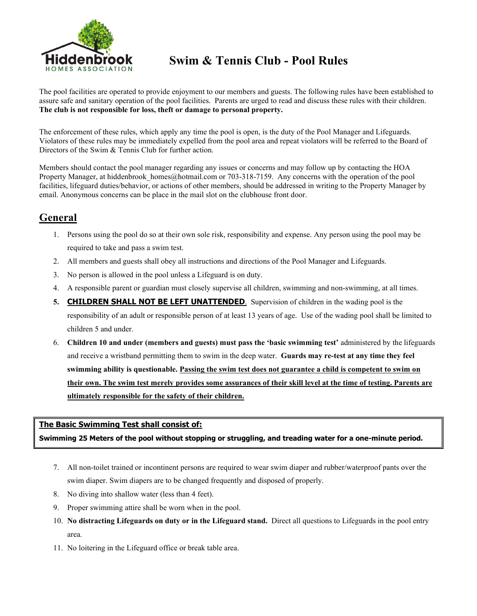

# **Hiddenbrook** Swim & Tennis Club - Pool Rules

The pool facilities are operated to provide enjoyment to our members and guests. The following rules have been established to assure safe and sanitary operation of the pool facilities. Parents are urged to read and discuss these rules with their children. **The club is not responsible for loss, theft or damage to personal property.**

The enforcement of these rules, which apply any time the pool is open, is the duty of the Pool Manager and Lifeguards. Violators of these rules may be immediately expelled from the pool area and repeat violators will be referred to the Board of Directors of the Swim & Tennis Club for further action.

Members should contact the pool manager regarding any issues or concerns and may follow up by contacting the HOA Property Manager, at hiddenbrook homes@hotmail.com or 703-318-7159. Any concerns with the operation of the pool facilities, lifeguard duties/behavior, or actions of other members, should be addressed in writing to the Property Manager by email. Anonymous concerns can be place in the mail slot on the clubhouse front door.

## **General**

- 1. Persons using the pool do so at their own sole risk, responsibility and expense. Any person using the pool may be required to take and pass a swim test.
- 2. All members and guests shall obey all instructions and directions of the Pool Manager and Lifeguards.
- 3. No person is allowed in the pool unless a Lifeguard is on duty.
- 4. A responsible parent or guardian must closely supervise all children, swimming and non-swimming, at all times.
- **5. CHILDREN SHALL NOT BE LEFT UNATTENDED**. Supervision of children in the wading pool is the responsibility of an adult or responsible person of at least 13 years of age. Use of the wading pool shall be limited to children 5 and under.
- 6. **Children 10 and under (members and guests) must pass the 'basic swimming test'** administered by the lifeguards and receive a wristband permitting them to swim in the deep water. **Guards may re-test at any time they feel swimming ability is questionable. Passing the swim test does not guarantee a child is competent to swim on their own. The swim test merely provides some assurances of their skill level at the time of testing. Parents are ultimately responsible for the safety of their children.**

## **The Basic Swimming Test shall consist of:**

**Swimming 25 Meters of the pool without stopping or struggling, and treading water for a one-minute period.**

- 7. All non-toilet trained or incontinent persons are required to wear swim diaper and rubber/waterproof pants over the swim diaper. Swim diapers are to be changed frequently and disposed of properly.
- 8. No diving into shallow water (less than 4 feet).
- 9. Proper swimming attire shall be worn when in the pool.
- 10. **No distracting Lifeguards on duty or in the Lifeguard stand.** Direct all questions to Lifeguards in the pool entry area.
- 11. No loitering in the Lifeguard office or break table area.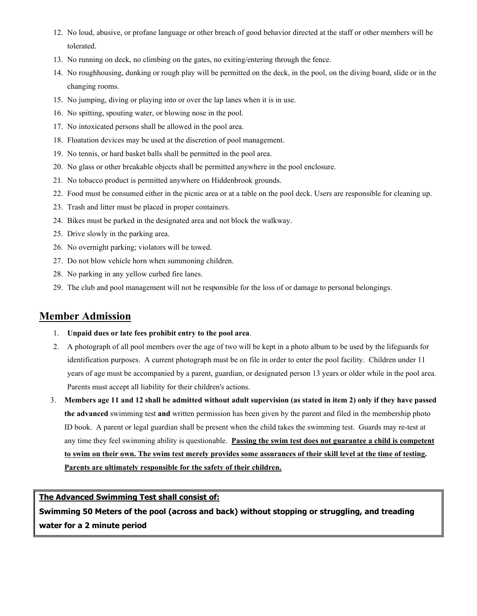- 12. No loud, abusive, or profane language or other breach of good behavior directed at the staff or other members will be tolerated.
- 13. No running on deck, no climbing on the gates, no exiting/entering through the fence.
- 14. No roughhousing, dunking or rough play will be permitted on the deck, in the pool, on the diving board, slide or in the changing rooms.
- 15. No jumping, diving or playing into or over the lap lanes when it is in use.
- 16. No spitting, spouting water, or blowing nose in the pool.
- 17. No intoxicated persons shall be allowed in the pool area.
- 18. Floatation devices may be used at the discretion of pool management.
- 19. No tennis, or hard basket balls shall be permitted in the pool area.
- 20. No glass or other breakable objects shall be permitted anywhere in the pool enclosure.
- 21. No tobacco product is permitted anywhere on Hiddenbrook grounds.
- 22. Food must be consumed either in the picnic area or at a table on the pool deck. Users are responsible for cleaning up.
- 23. Trash and litter must be placed in proper containers.
- 24. Bikes must be parked in the designated area and not block the walkway.
- 25. Drive slowly in the parking area.
- 26. No overnight parking; violators will be towed.
- 27. Do not blow vehicle horn when summoning children.
- 28. No parking in any yellow curbed fire lanes.
- 29. The club and pool management will not be responsible for the loss of or damage to personal belongings.

## **Member Admission**

- 1. **Unpaid dues or late fees prohibit entry to the pool area**.
- 2. A photograph of all pool members over the age of two will be kept in a photo album to be used by the lifeguards for identification purposes. A current photograph must be on file in order to enter the pool facility. Children under 11 years of age must be accompanied by a parent, guardian, or designated person 13 years or older while in the pool area. Parents must accept all liability for their children's actions.
- 3. **Members age 11 and 12 shall be admitted without adult supervision (as stated in item 2) only if they have passed the advanced** swimming test **and** written permission has been given by the parent and filed in the membership photo ID book. A parent or legal guardian shall be present when the child takes the swimming test. Guards may re-test at any time they feel swimming ability is questionable. **Passing the swim test does not guarantee a child is competent to swim on their own. The swim test merely provides some assurances of their skill level at the time of testing. Parents are ultimately responsible for the safety of their children.**

**The Advanced Swimming Test shall consist of:**

**Swimming 50 Meters of the pool (across and back) without stopping or struggling, and treading water for a 2 minute period**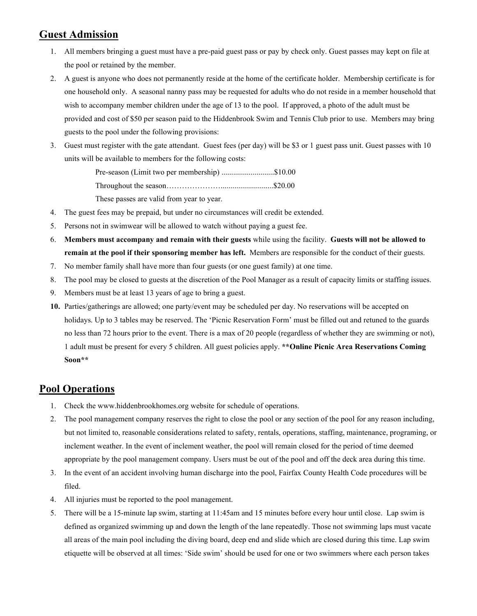## **Guest Admission**

- 1. All members bringing a guest must have a pre-paid guest pass or pay by check only. Guest passes may kept on file at the pool or retained by the member.
- 2. A guest is anyone who does not permanently reside at the home of the certificate holder. Membership certificate is for one household only. A seasonal nanny pass may be requested for adults who do not reside in a member household that wish to accompany member children under the age of 13 to the pool. If approved, a photo of the adult must be provided and cost of \$50 per season paid to the Hiddenbrook Swim and Tennis Club prior to use. Members may bring guests to the pool under the following provisions:
- 3. Guest must register with the gate attendant. Guest fees (per day) will be \$3 or 1 guest pass unit. Guest passes with 10 units will be available to members for the following costs:

Pre-season (Limit two per membership) ............................\$10.00 Throughout the season…………………...........................\$20.00 These passes are valid from year to year.

- 4. The guest fees may be prepaid, but under no circumstances will credit be extended.
- 5. Persons not in swimwear will be allowed to watch without paying a guest fee.
- 6. **Members must accompany and remain with their guests** while using the facility. **Guests will not be allowed to remain at the pool if their sponsoring member has left.** Members are responsible for the conduct of their guests.
- 7. No member family shall have more than four guests (or one guest family) at one time.
- 8. The pool may be closed to guests at the discretion of the Pool Manager as a result of capacity limits or staffing issues.
- 9. Members must be at least 13 years of age to bring a guest.
- **10.** Parties/gatherings are allowed; one party/event may be scheduled per day. No reservations will be accepted on holidays. Up to 3 tables may be reserved. The 'Picnic Reservation Form' must be filled out and retuned to the guards no less than 72 hours prior to the event. There is a max of 20 people (regardless of whether they are swimming or not), 1 adult must be present for every 5 children. All guest policies apply. **\*\*Online Picnic Area Reservations Coming Soon\*\***

## **Pool Operations**

- 1. Check the [www.hiddenbrookhomes.org](http://www.hiddenbrookhomes.org/) website for schedule of operations.
- 2. The pool management company reserves the right to close the pool or any section of the pool for any reason including, but not limited to, reasonable considerations related to safety, rentals, operations, staffing, maintenance, programing, or inclement weather. In the event of inclement weather, the pool will remain closed for the period of time deemed appropriate by the pool management company. Users must be out of the pool and off the deck area during this time.
- 3. In the event of an accident involving human discharge into the pool, Fairfax County Health Code procedures will be filed.
- 4. All injuries must be reported to the pool management.
- 5. There will be a 15-minute lap swim, starting at 11:45am and 15 minutes before every hour until close. Lap swim is defined as organized swimming up and down the length of the lane repeatedly. Those not swimming laps must vacate all areas of the main pool including the diving board, deep end and slide which are closed during this time. Lap swim etiquette will be observed at all times: 'Side swim' should be used for one or two swimmers where each person takes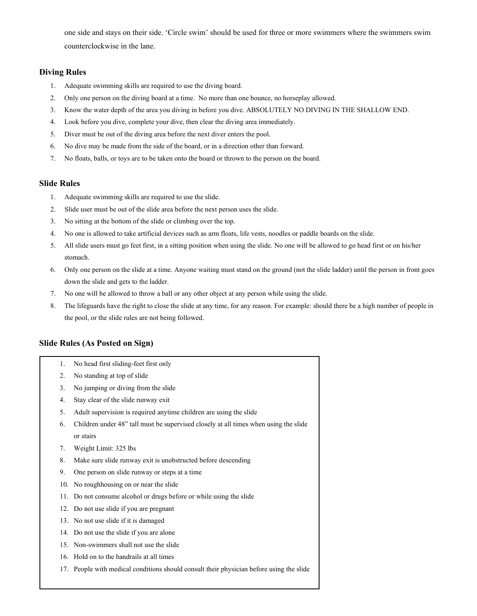one side and stays on their side. 'Circle swim' should be used for three or more swimmers where the swimmers swim counterclockwise in the lane.

#### **Diving Rules**

- 1. Adequate swimming skills are required to use the diving board.
- 2. Only one person on the diving board at a time. No more than one bounce, no horseplay allowed.
- 3. Know the water depth of the area you diving in before you dive. ABSOLUTELY NO DIVING IN THE SHALLOW END.
- 4. Look before you dive, complete your dive, then clear the diving area immediately.
- 5. Diver must be out of the diving area before the next diver enters the pool.
- 6. No dive may be made from the side of the board, or in a direction other than forward.
- 7. No floats, balls, or toys are to be taken onto the board or thrown to the person on the board.

#### **Slide Rules**

- 1. Adequate swimming skills are required to use the slide.
- 2. Slide user must be out of the slide area before the next person uses the slide.
- 3. No sitting at the bottom of the slide or climbing over the top.
- 4. No one is allowed to take artificial devices such as arm floats, life vests, noodles or paddle boards on the slide.
- 5. All slide users must go feet first, in a sitting position when using the slide. No one will be allowed to go head first or on his/her stomach.
- 6. Only one person on the slide at a time. Anyone waiting must stand on the ground (not the slide ladder) until the person in front goes down the slide and gets to the ladder.
- 7. No one will be allowed to throw a ball or any other object at any person while using the slide.
- 8. The lifeguards have the right to close the slide at any time, for any reason. For example: should there be a high number of people in the pool, or the slide rules are not being followed.

## **Slide Rules (As Posted on Sign)**

- 1. No head first sliding-feet first only
- 2. No standing at top of slide
- 3. No jumping or diving from the slide
- 4. Stay clear of the slide runway exit
- 5. Adult supervision is required anytime children are using the slide
- 6. Children under 48" tall must be supervised closely at all times when using the slide or stairs
- 7. Weight Limit: 325 lbs
- 8. Make sure slide runway exit is unobstructed before descending
- 9. One person on slide runway or steps at a time
- 10. No roughhousing on or near the slide
- 11. Do not consume alcohol or drugs before or while using the slide
- 12. Do not use slide if you are pregnant
- 13. No not use slide if it is damaged
- 14. Do not use the slide if you are alone
- 15. Non-swimmers shall not use the slide
- 16. Hold on to the handrails at all times
- 17. People with medical conditions should consult their physician before using the slide